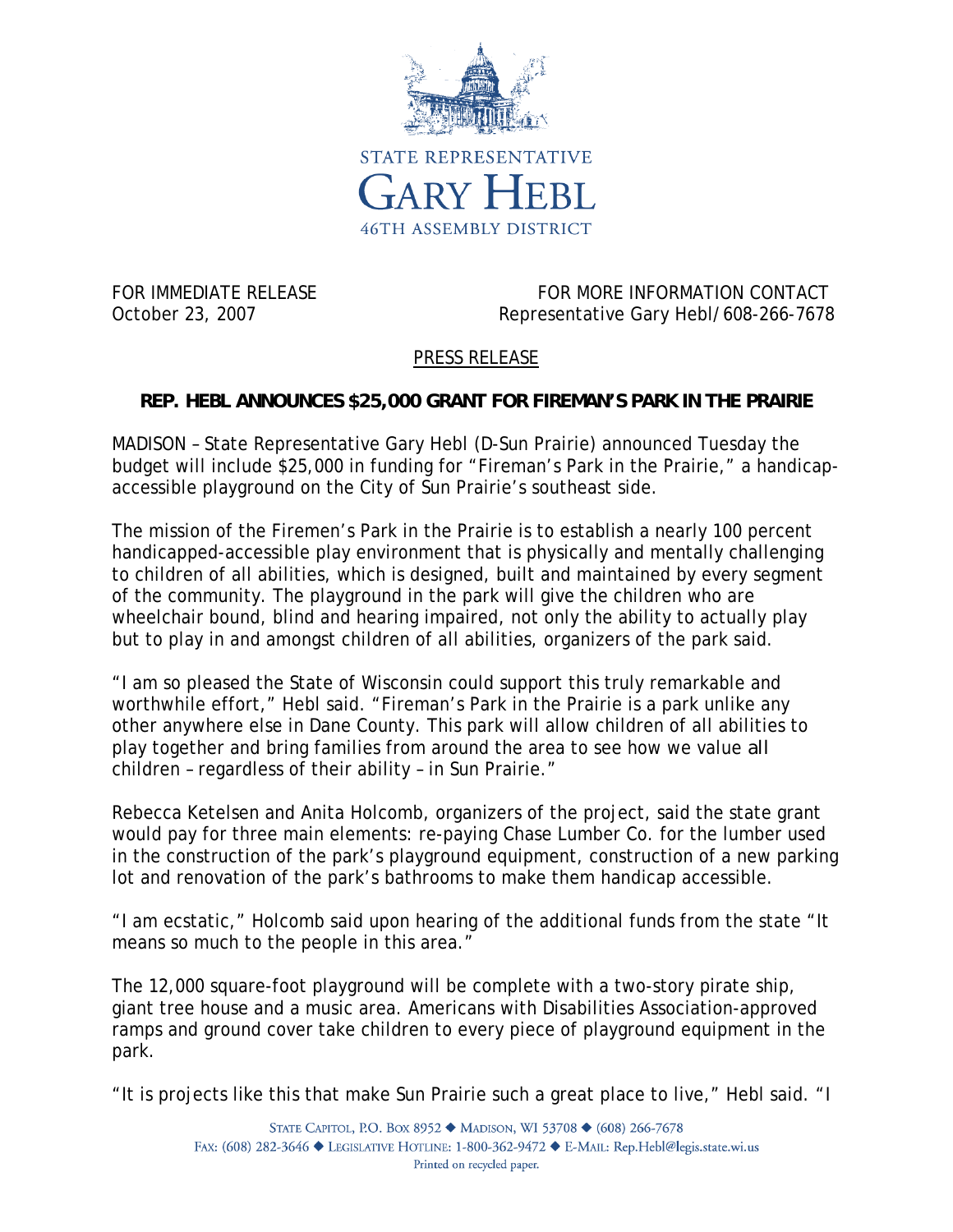

FOR IMMEDIATE RELEASE FOR MORE INFORMATION CONTACT October 23, 2007 Representative Gary Hebl/608-266-7678

## PRESS RELEASE

## **REP. HEBL ANNOUNCES \$25,000 GRANT FOR FIREMAN'S PARK IN THE PRAIRIE**

MADISON – State Representative Gary Hebl (D-Sun Prairie) announced Tuesday the budget will include \$25,000 in funding for "Fireman's Park in the Prairie," a handicapaccessible playground on the City of Sun Prairie's southeast side.

The mission of the Firemen's Park in the Prairie is to establish a nearly 100 percent handicapped-accessible play environment that is physically and mentally challenging to children of all abilities, which is designed, built and maintained by every segment of the community. The playground in the park will give the children who are wheelchair bound, blind and hearing impaired, not only the ability to actually play but to play in and amongst children of all abilities, organizers of the park said.

"I am so pleased the State of Wisconsin could support this truly remarkable and worthwhile effort," Hebl said. "Fireman's Park in the Prairie is a park unlike any other anywhere else in Dane County. This park will allow children of all abilities to play together and bring families from around the area to see how we value *all* children – regardless of their ability – in Sun Prairie."

Rebecca Ketelsen and Anita Holcomb, organizers of the project, said the state grant would pay for three main elements: re-paying Chase Lumber Co. for the lumber used in the construction of the park's playground equipment, construction of a new parking lot and renovation of the park's bathrooms to make them handicap accessible.

"I am ecstatic," Holcomb said upon hearing of the additional funds from the state "It means so much to the people in this area."

The 12,000 square-foot playground will be complete with a two-story pirate ship, giant tree house and a music area. Americans with Disabilities Association-approved ramps and ground cover take children to every piece of playground equipment in the park.

"It is projects like this that make Sun Prairie such a great place to live," Hebl said. "I